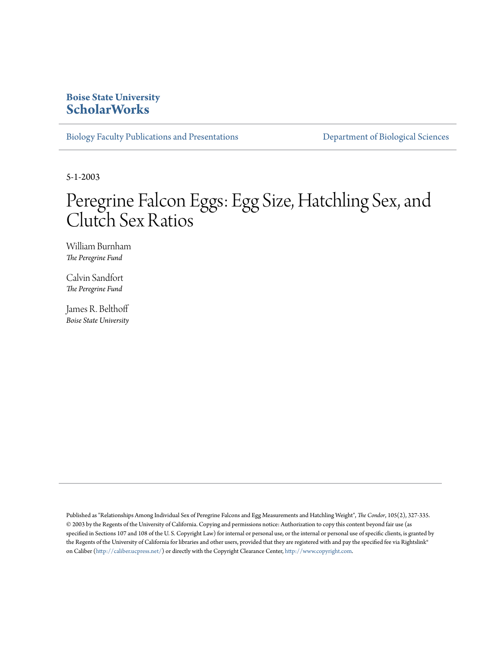# **Boise State University [ScholarWorks](https://scholarworks.boisestate.edu)**

[Biology Faculty Publications and Presentations](https://scholarworks.boisestate.edu/bio_facpubs) **[Department of Biological Sciences](https://scholarworks.boisestate.edu/biosciences)** 

5-1-2003

# Peregrine Falcon Eggs: Egg Size, Hatchling Sex, and Clutch Sex Ratios

William Burnham *The Peregrine Fund*

Calvin Sandfort *The Peregrine Fund*

James R. Belthoff *Boise State University*

Published as "Relationships Among Individual Sex of Peregrine Falcons and Egg Measurements and Hatchling Weight", *The Condor*, 105(2), 327-335. © 2003 by the Regents of the University of California. Copying and permissions notice: Authorization to copy this content beyond fair use (as specified in Sections 107 and 108 of the U. S. Copyright Law) for internal or personal use, or the internal or personal use of specific clients, is granted by the Regents of the University of California for libraries and other users, provided that they are registered with and pay the specified fee via Rightslink® on Caliber [\(http://caliber.ucpress.net/\)](http://caliber.ucpress.net/) or directly with the Copyright Clearance Center, <http://www.copyright.com>.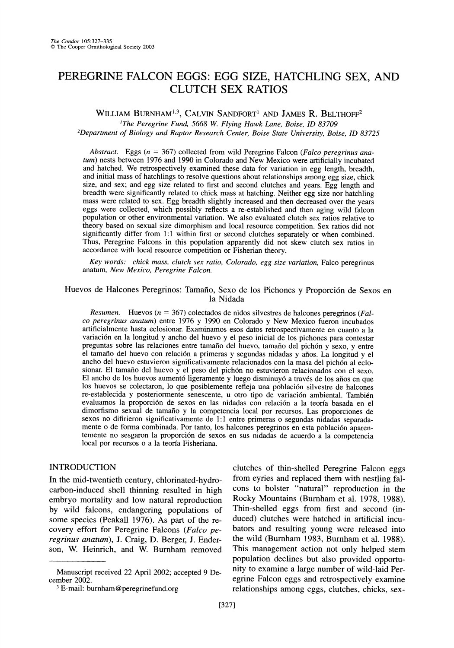# **PEREGRINE FALCON EGGS: EGG SIZE, HATCHLING SEX, AND CLUTCH SEX RATIOS**

**WILLIAM BURNHAM1,3, CALVIN SANDFORT' AND JAMES R. BELTHOFF2 'The Peregrine Fund, 5668 W. Flying Hawk Lane, Boise, ID 83709** 

**2Department of Biology and Raptor Research Center, Boise State University, Boise, ID 83725** 

**Abstract. Eggs (n = 367) collected from wild Peregrine Falcon (Falco peregrinus anatum) nests between 1976 and 1990 in Colorado and New Mexico were artificially incubated and hatched. We retrospectively examined these data for variation in egg length, breadth, and initial mass of hatchlings to resolve questions about relationships among egg size, chick size, and sex; and egg size related to first and second clutches and years. Egg length and breadth were significantly related to chick mass at hatching. Neither egg size nor hatchling mass were related to sex. Egg breadth slightly increased and then decreased over the years eggs were collected, which possibly reflects a re-established and then aging wild falcon population or other environmental variation. We also evaluated clutch sex ratios relative to theory based on sexual size dimorphism and local resource competition. Sex ratios did not significantly differ from 1:1 within first or second clutches separately or when combined. Thus, Peregrine Falcons in this population apparently did not skew clutch sex ratios in accordance with local resource competition or Fisherian theory.** 

**Key words: chick mass, clutch sex ratio, Colorado, egg size variation, Falco peregrinus anatum, New Mexico, Peregrine Falcon.** 

**Huevos de Halcones Peregrinos: Tamafio, Sexo de los Pichones y Proporci6n de Sexos en la Nidada** 

**Resumen. Huevos (n = 367) colectados de nidos silvestres de halcones peregrinos (Falco peregrinus anatum) entre 1976 y 1990 en Colorado y New Mexico fueron incubados artificialmente hasta eclosionar. Examinamos esos datos retrospectivamente en cuanto a la variaci6n en la longitud y ancho del huevo y el peso inicial de los pichones para contestar preguntas sobre las relaciones entre tamafio del huevo, tamafio del pich6n y sexo, y entre**  el tamaño del huevo con relación a primeras y segundas nidadas y años. La longitud y el **ancho del huevo estuvieron significativamente relacionados con la masa del pich6n al eclosionar. El tamafio del huevo y el peso del pich6n no estuvieron relacionados con el sexo.**  El ancho de los huevos aumentó ligeramente y luego disminuyó a través de los años en que los huevos se colectaron, lo que posiblemente refleja una población silvestre de halcones re-establecida y posteriormente senescente, u otro tipo de variación ambiental. También evaluamos la proporción de sexos en las nidadas con relación a la teoría basada en el **dimorfismo sexual de tamafio y la competencia local por recursos. Las proporciones de sexos no difirieron significativamente de 1:1 entre primeras o segundas nidadas separada**mente o de forma combinada. Por tanto, los halcones peregrinos en esta población aparentemente no sesgaron la proporción de sexos en sus nidadas de acuerdo a la competencia **local por recursos o a la teoria Fisheriana.** 

## **INTRODUCTION**

**In the mid-twentieth century, chlorinated-hydrocarbon-induced shell thinning resulted in high embryo mortality and low natural reproduction by wild falcons, endangering populations of some species (Peakall 1976). As part of the recovery effort for Peregrine Falcons (Falco peregrinus anatum), J. Craig, D. Berger, J. Enderson, W. Heinrich, and W. Burnham removed** 

**clutches of thin-shelled Peregrine Falcon eggs from eyries and replaced them with nestling falcons to bolster "natural" reproduction in the Rocky Mountains (Burnham et al. 1978, 1988). Thin-shelled eggs from first and second (induced) clutches were hatched in artificial incubators and resulting young were released into the wild (Burnham 1983, Burnham et al. 1988). This management action not only helped stem population declines but also provided opportunity to examine a large number of wild-laid Peregrine Falcon eggs and retrospectively examine relationships among eggs, clutches, chicks, sex-**

**Manuscript received 22 April 2002; accepted 9 December 2002.** 

**<sup>3</sup> E-mail: burnham@peregrinefund.org**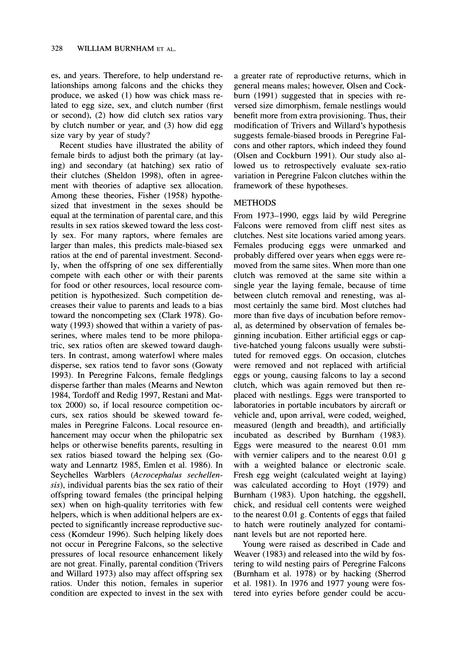**es, and years. Therefore, to help understand relationships among falcons and the chicks they produce, we asked (1) how was chick mass related to egg size, sex, and clutch number (first or second), (2) how did clutch sex ratios vary by clutch number or year, and (3) how did egg size vary by year of study?** 

**Recent studies have illustrated the ability of female birds to adjust both the primary (at laying) and secondary (at hatching) sex ratio of their clutches (Sheldon 1998), often in agreement with theories of adaptive sex allocation. Among these theories, Fisher (1958) hypothesized that investment in the sexes should be equal at the termination of parental care, and this results in sex ratios skewed toward the less costly sex. For many raptors, where females are larger than males, this predicts male-biased sex ratios at the end of parental investment. Secondly, when the offspring of one sex differentially compete with each other or with their parents for food or other resources, local resource competition is hypothesized. Such competition decreases their value to parents and leads to a bias toward the noncompeting sex (Clark 1978). Gowaty (1993) showed that within a variety of passerines, where males tend to be more philopatric, sex ratios often are skewed toward daughters. In contrast, among waterfowl where males disperse, sex ratios tend to favor sons (Gowaty 1993). In Peregrine Falcons, female fledglings disperse farther than males (Mearns and Newton 1984, Tordoff and Redig 1997, Restani and Mattox 2000) so, if local resource competition occurs, sex ratios should be skewed toward females in Peregrine Falcons. Local resource enhancement may occur when the philopatric sex helps or otherwise benefits parents, resulting in sex ratios biased toward the helping sex (Gowaty and Lennartz 1985, Emlen et al. 1986). In Seychelles Warblers (Acrocephalus sechellensis), individual parents bias the sex ratio of their offspring toward females (the principal helping sex) when on high-quality territories with few helpers, which is when additional helpers are expected to significantly increase reproductive success (Komdeur 1996). Such helping likely does not occur in Peregrine Falcons, so the selective pressures of local resource enhancement likely are not great. Finally, parental condition (Trivers and Willard 1973) also may affect offspring sex ratios. Under this notion, females in superior condition are expected to invest in the sex with** 

**a greater rate of reproductive returns, which in general means males; however, Olsen and Cockburn (1991) suggested that in species with reversed size dimorphism, female nestlings would benefit more from extra provisioning. Thus, their modification of Trivers and Willard's hypothesis suggests female-biased broods in Peregrine Falcons and other raptors, which indeed they found (Olsen and Cockburn 1991). Our study also allowed us to retrospectively evaluate sex-ratio variation in Peregrine Falcon clutches within the framework of these hypotheses.** 

### **METHODS**

**From 1973-1990, eggs laid by wild Peregrine Falcons were removed from cliff nest sites as clutches. Nest site locations varied among years. Females producing eggs were unmarked and probably differed over years when eggs were removed from the same sites. When more than one clutch was removed at the same site within a single year the laying female, because of time between clutch removal and renesting, was almost certainly the same bird. Most clutches had more than five days of incubation before removal, as determined by observation of females beginning incubation. Either artificial eggs or captive-hatched young falcons usually were substituted for removed eggs. On occasion, clutches were removed and not replaced with artificial eggs or young, causing falcons to lay a second clutch, which was again removed but then replaced with nestlings. Eggs were transported to laboratories in portable incubators by aircraft or vehicle and, upon arrival, were coded, weighed, measured (length and breadth), and artificially incubated as described by Burnham (1983). Eggs were measured to the nearest 0.01 mm with vernier calipers and to the nearest 0.01 g with a weighted balance or electronic scale. Fresh egg weight (calculated weight at laying) was calculated according to Hoyt (1979) and Burnham (1983). Upon hatching, the eggshell, chick, and residual cell contents were weighed to the nearest 0.01 g. Contents of eggs that failed to hatch were routinely analyzed for contaminant levels but are not reported here.** 

**Young were raised as described in Cade and Weaver (1983) and released into the wild by fostering to wild nesting pairs of Peregrine Falcons (Burnham et al. 1978) or by hacking (Sherrod et al. 1981). In 1976 and 1977 young were fostered into eyries before gender could be accu-**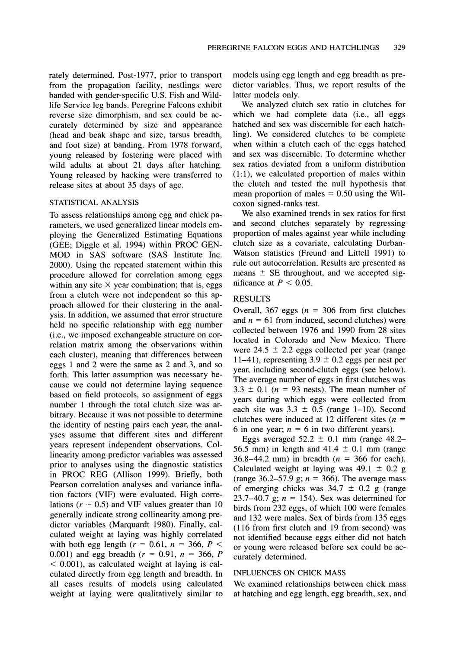**rately determined. Post-1977, prior to transport from the propagation facility, nestlings were banded with gender-specific U.S. Fish and Wildlife Service leg bands. Peregrine Falcons exhibit reverse size dimorphism, and sex could be accurately determined by size and appearance (head and beak shape and size, tarsus breadth, and foot size) at banding. From 1978 forward, young released by fostering were placed with wild adults at about 21 days after hatching. Young released by hacking were transferred to release sites at about 35 days of age.** 

## **STATISTICAL ANALYSIS**

**To assess relationships among egg and chick parameters, we used generalized linear models employing the Generalized Estimating Equations (GEE; Diggle et al. 1994) within PROC GEN-MOD in SAS software (SAS Institute Inc. 2000). Using the repeated statement within this procedure allowed for correlation among eggs**  within any site  $\times$  year combination; that is, eggs **from a clutch were not independent so this approach allowed for their clustering in the analysis. In addition, we assumed that error structure held no specific relationship with egg number (i.e., we imposed exchangeable structure on correlation matrix among the observations within each cluster), meaning that differences between eggs 1 and 2 were the same as 2 and 3, and so forth. This latter assumption was necessary because we could not determine laying sequence based on field protocols, so assignment of eggs number 1 through the total clutch size was arbitrary. Because it was not possible to determine the identity of nesting pairs each year, the analyses assume that different sites and different years represent independent observations. Collinearity among predictor variables was assessed prior to analyses using the diagnostic statistics in PROC REG (Allison 1999). Briefly, both Pearson correlation analyses and variance inflation factors (VIF) were evaluated. High corre**lations ( $r \sim 0.5$ ) and VIF values greater than 10 **generally indicate strong collinearity among predictor variables (Marquardt 1980). Finally, calculated weight at laying was highly correlated**  with both egg length ( $r = 0.61$ ,  $n = 366$ ,  $P <$ 0.001) and egg breadth  $(r = 0.91, n = 366, P)$ **< 0.001), as calculated weight at laying is calculated directly from egg length and breadth. In all cases results of models using calculated weight at laying were qualitatively similar to** 

**models using egg length and egg breadth as predictor variables. Thus, we report results of the latter models only.** 

**We analyzed clutch sex ratio in clutches for which we had complete data (i.e., all eggs hatched and sex was discernible for each hatchling). We considered clutches to be complete when within a clutch each of the eggs hatched and sex was discernible. To determine whether sex ratios deviated from a uniform distribution (1:1), we calculated proportion of males within the clutch and tested the null hypothesis that**  mean proportion of males  $= 0.50$  using the Wil**coxon signed-ranks test.** 

**We also examined trends in sex ratios for first and second clutches separately by regressing proportion of males against year while including clutch size as a covariate, calculating Durban-Watson statistics (Freund and Littell 1991) to rule out autocorrelation. Results are presented as**  means  $\pm$  SE throughout, and we accepted sig**nificance** at  $P < 0.05$ .

# **RESULTS**

Overall, 367 eggs ( $n = 306$  from first clutches and  $n = 61$  from induced, second clutches) were **collected between 1976 and 1990 from 28 sites located in Colorado and New Mexico. There**  were  $24.5 \pm 2.2$  eggs collected per year (range 11-41), representing  $3.9 \pm 0.2$  eggs per nest per **year, including second-clutch eggs (see below). The average number of eggs in first clutches was**   $3.3 \pm 0.1$  ( $n = 93$  nests). The mean number of **years during which eggs were collected from**  each site was  $3.3 \pm 0.5$  (range 1-10). Second **clutches were induced at 12 different sites (n =**  6 in one year;  $n = 6$  in two different years).

Eggs averaged  $52.2 \pm 0.1$  mm (range 48.2-56.5 mm) in length and  $41.4 \pm 0.1$  mm (range **36.8-44.2 mm) in breadth (n = 366 for each).**  Calculated weight at laying was  $49.1 \pm 0.2$  g **(range 36.2-57.9 g; n = 366). The average mass**  of emerging chicks was  $34.7 \pm 0.2$  g (range **23.7-40.7 g; n = 154). Sex was determined for birds from 232 eggs, of which 100 were females and 132 were males. Sex of birds from 135 eggs (116 from first clutch and 19 from second) was not identified because eggs either did not hatch or young were released before sex could be accurately determined.** 

#### **INFLUENCES ON CHICK MASS**

**We examined relationships between chick mass at hatching and egg length, egg breadth, sex, and**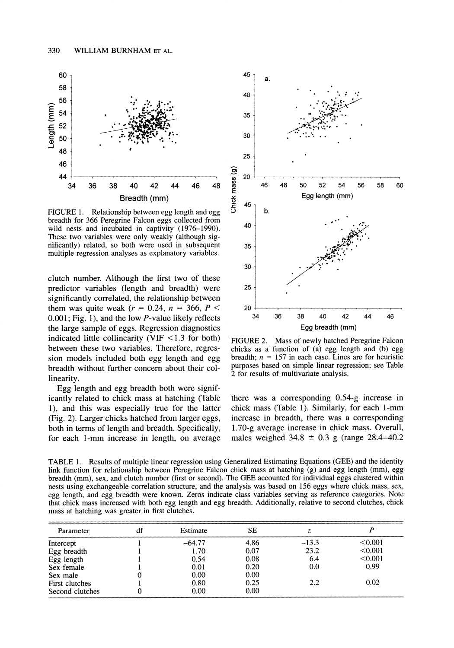

**FIGURE 1. Relationship between egg length and egg breadth for 366 Peregrine Falcon eggs collected from wild nests and incubated in captivity (1976-1990). These two variables were only weakly (although significantly) related, so both were used in subsequent multiple regression analyses as explanatory variables.** 

**clutch number. Although the first two of these predictor variables (length and breadth) were significantly correlated, the relationship between**  them was quite weak ( $r = 0.24$ ,  $n = 366$ ,  $P <$ **0.001; Fig. 1), and the low P-value likely reflects the large sample of eggs. Regression diagnostics indicated little collinearity (VIF <1.3 for both) between these two variables. Therefore, regression models included both egg length and egg breadth without further concern about their collinearity.** 

**Egg length and egg breadth both were significantly related to chick mass at hatching (Table 1), and this was especially true for the latter (Fig. 2). Larger chicks hatched from larger eggs, both in terms of length and breadth. Specifically, for each 1-mm increase in length, on average** 



**FIGURE 2. Mass of newly hatched Peregrine Falcon chicks as a function of (a) egg length and (b) egg**  breadth;  $n = 157$  in each case. Lines are for heuristic **purposes based on simple linear regression; see Table 2 for results of multivariate analysis.** 

**there was a corresponding 0.54-g increase in chick mass (Table 1). Similarly, for each 1-mm increase in breadth, there was a corresponding 1.70-g average increase in chick mass. Overall, males weighed 34.8 0.3 g (range 28.4-40.2** 

**TABLE 1. Results of multiple linear regression using Generalized Estimating Equations (GEE) and the identity link function for relationship between Peregrine Falcon chick mass at hatching (g) and egg length (mm), egg breadth (mm), sex, and clutch number (first or second). The GEE accounted for individual eggs clustered within nests using exchangeable correlation structure, and the analysis was based on 156 eggs where chick mass, sex, egg length, and egg breadth were known. Zeros indicate class variables serving as reference categories. Note that chick mass increased with both egg length and egg breadth. Additionally, relative to second clutches, chick mass at hatching was greater in first clutches.** 

| Parameter       | df | Estimate | SЕ   |         |         |
|-----------------|----|----------|------|---------|---------|
| Intercept       |    | $-64.77$ | 4.86 | $-13.3$ | < 0.001 |
| Egg breadth     |    | 1.70     | 0.07 | 23.2    | < 0.001 |
| Egg length      |    | 0.54     | 0.08 | 6.4     | < 0.001 |
| Sex female      |    | 0.01     | 0.20 | 0.0     | 0.99    |
| Sex male        |    | 0.00     | 0.00 |         |         |
| First clutches  |    | 0.80     | 0.25 | 2.2     | 0.02    |
| Second clutches |    | 0.00     | 0.00 |         |         |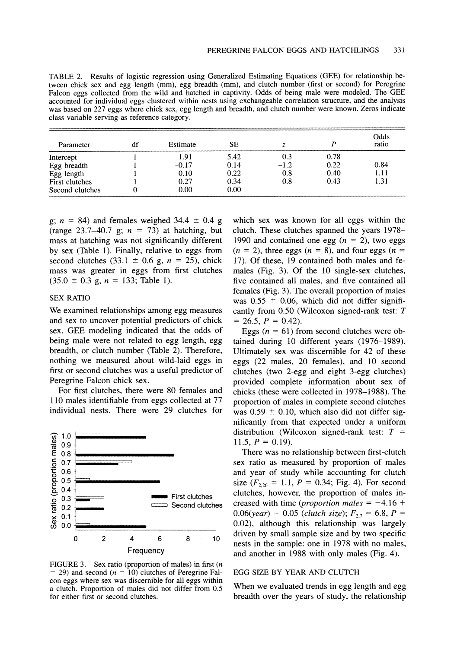**TABLE 2. Results of logistic regression using Generalized Estimating Equations (GEE) for relationship between chick sex and egg length (mm), egg breadth (mm), and clutch number (first or second) for Peregrine Falcon eggs collected from the wild and hatched in captivity. Odds of being male were modeled. The GEE accounted for individual eggs clustered within nests using exchangeable correlation structure, and the analysis was based on 227 eggs where chick sex, egg length and breadth, and clutch number were known. Zeros indicate class variable serving as reference category.** 

| Parameter       | df | Estimate | <b>SE</b> |        |      | Odds<br>ratio |
|-----------------|----|----------|-----------|--------|------|---------------|
| Intercept       |    | 1.91     | 5.42      | 0.3    | 0.78 |               |
| Egg breadth     |    | $-0.17$  | 0.14      | $-1.2$ | 0.22 | 0.84          |
| Egg length      |    | 0.10     | 0.22      | 0.8    | 0.40 | 1.11          |
| First clutches  |    | 0.27     | 0.34      | 0.8    | 0.43 | 1.31          |
| Second clutches | 0  | 0.00     | 0.00      |        |      |               |

 $g$ ;  $n = 84$ ) and females weighed 34.4  $\pm$  0.4 g **(range 23.7-40.7 g; n = 73) at hatching, but mass at hatching was not significantly different by sex (Table 1). Finally, relative to eggs from**  second clutches (33.1  $\pm$  0.6 g, n = 25), chick **mass was greater in eggs from first clutches**   $(35.0 \pm 0.3 \text{ g}, n = 133; \text{ Table 1}).$ 

#### **SEX RATIO**

**We examined relationships among egg measures and sex to uncover potential predictors of chick sex. GEE modeling indicated that the odds of being male were not related to egg length, egg breadth, or clutch number (Table 2). Therefore, nothing we measured about wild-laid eggs in first or second clutches was a useful predictor of Peregrine Falcon chick sex.** 

**For first clutches, there were 80 females and 110 males identifiable from eggs collected at 77 individual nests. There were 29 clutches for** 



**FIGURE 3. Sex ratio (proportion of males) in first (n = 29) and second (n = 10) clutches of Peregrine Falcon eggs where sex was discernible for all eggs within a clutch. Proportion of males did not differ from 0.5 for either first or second clutches.** 

**which sex was known for all eggs within the clutch. These clutches spanned the years 1978- 1990 and contained one egg (n = 2), two eggs**   $(n = 2)$ , three eggs  $(n = 8)$ , and four eggs  $(n = 1)$ **17). Of these, 19 contained both males and females (Fig. 3). Of the 10 single-sex clutches, five contained all males, and five contained all females (Fig. 3). The overall proportion of males**  was  $0.55 \pm 0.06$ , which did not differ signifi**cantly from 0.50 (Wilcoxon signed-rank test: T**   $= 26.5, P = 0.42$ .

Eggs  $(n = 61)$  from second clutches were ob**tained during 10 different years (1976-1989). Ultimately sex was discernible for 42 of these eggs (22 males, 20 females), and 10 second clutches (two 2-egg and eight 3-egg clutches) provided complete information about sex of chicks (these were collected in 1978-1988). The proportion of males in complete second clutches**  was  $0.59 \pm 0.10$ , which also did not differ sig**nificantly from that expected under a uniform distribution (Wilcoxon signed-rank test: T =**  11.5,  $P = 0.19$ ).

**There was no relationship between first-clutch sex ratio as measured by proportion of males and year of study while accounting for clutch**  size  $(F_{2,26} = 1.1, P = 0.34; Fig. 4)$ . For second **clutches, however, the proportion of males in**creased with time (*proportion males*  $= -4.16 +$  $0.06(year) - 0.05$  (clutch size);  $F_{2,7} = 6.8$ ,  $P =$ **F2,7 0.02), although this relationship was largely driven by small sample size and by two specific nests in the sample: one in 1978 with no males, and another in 1988 with only males (Fig. 4).** 

#### **EGG SIZE BY YEAR AND CLUTCH**

**When we evaluated trends in egg length and egg breadth over the years of study, the relationship**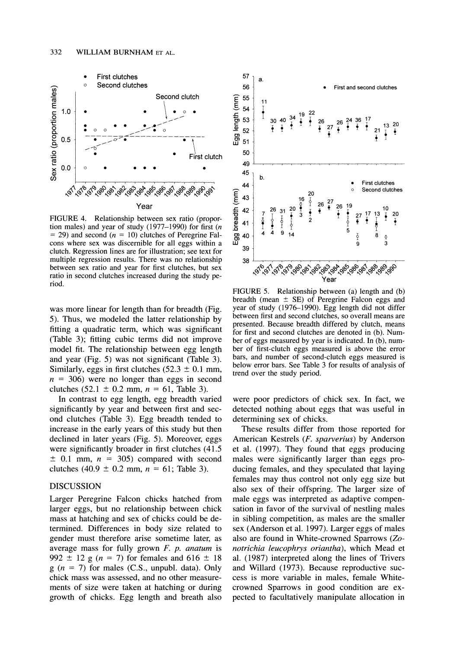

**FIGURE 4. Relationship between sex ratio (proportion males) and year of study (1977-1990) for first (n = 29) and second (n = 10) clutches of Peregrine Falcons where sex was discernible for all eggs within a clutch. Regression lines are for illustration; see text for multiple regression results. There was no relationship between sex ratio and year for first clutches, but sex ratio in second clutches increased during the study period.** 

**was more linear for length than for breadth (Fig. 5). Thus, we modeled the latter relationship by fitting a quadratic term, which was significant (Table 3); fitting cubic terms did not improve model fit. The relationship between egg length and year (Fig. 5) was not significant (Table 3).**  Similarly, eggs in first clutches  $(52.3 \pm 0.1 \text{ mm})$ ,  $n = 306$ ) were no longer than eggs in second clutches  $(52.1 \pm 0.2 \text{ mm}, n = 61, \text{ Table } 3)$ .

**In contrast to egg length, egg breadth varied significantly by year and between first and second clutches (Table 3). Egg breadth tended to increase in the early years of this study but then declined in later years (Fig. 5). Moreover, eggs were significantly broader in first clutches (41.5**   $\pm$  0.1 mm,  $n = 305$  compared with second clutches  $(40.9 \pm 0.2 \text{ mm}, n = 61; \text{ Table } 3).$ 

#### **DISCUSSION**

**Larger Peregrine Falcon chicks hatched from larger eggs, but no relationship between chick mass at hatching and sex of chicks could be determined. Differences in body size related to gender must therefore arise sometime later, as average mass for fully grown F. p. anatum is**  992  $\pm$  12 g (n = 7) for females and 616  $\pm$  18 **g (n = 7) for males (C.S., unpubl. data). Only chick mass was assessed, and no other measurements of size were taken at hatching or during growth of chicks. Egg length and breath also** 



**FIGURE 5. Relationship between (a) length and (b)**  breadth (mean  $\pm$  SE) of Peregrine Falcon eggs and **year of study (1976-1990). Egg length did not differ between first and second clutches, so overall means are presented. Because breadth differed by clutch, means for first and second clutches are denoted in (b). Number of eggs measured by year is indicated. In (b), number of first-clutch eggs measured is above the error bars, and number of second-clutch eggs measured is below error bars. See Table 3 for results of analysis of trend over the study period.** 

**were poor predictors of chick sex. In fact, we detected nothing about eggs that was useful in determining sex of chicks.** 

**These results differ from those reported for American Kestrels (F. sparverius) by Anderson et al. (1997). They found that eggs producing males were significantly larger than eggs producing females, and they speculated that laying females may thus control not only egg size but also sex of their offspring. The larger size of male eggs was interpreted as adaptive compensation in favor of the survival of nestling males in sibling competition, as males are the smaller sex (Anderson et al. 1997). Larger eggs of males also are found in White-crowned Sparrows (Zonotrichia leucophrys oriantha), which Mead et al. (1987) interpreted along the lines of Trivers and Willard (1973). Because reproductive success is more variable in males, female Whitecrowned Sparrows in good condition are expected to facultatively manipulate allocation in**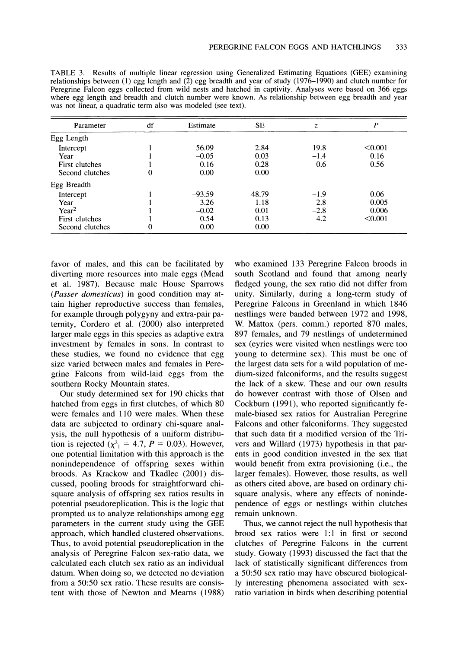| Parameter       | df | Estimate | <b>SE</b> | Z.     | $\boldsymbol{P}$ |
|-----------------|----|----------|-----------|--------|------------------|
| Egg Length      |    |          |           |        |                  |
| Intercept       |    | 56.09    | 2.84      | 19.8   | < 0.001          |
| Year            |    | $-0.05$  | 0.03      | $-1.4$ | 0.16             |
| First clutches  |    | 0.16     | 0.28      | 0.6    | 0.56             |
| Second clutches | 0  | 0.00     | 0.00      |        |                  |
| Egg Breadth     |    |          |           |        |                  |
| Intercept       |    | $-93.59$ | 48.79     | $-1.9$ | 0.06             |
| Year            |    | 3.26     | 1.18      | 2.8    | 0.005            |
| $Year^2$        |    | $-0.02$  | 0.01      | $-2.8$ | 0.006            |
| First clutches  |    | 0.54     | 0.13      | 4.2    | < 0.001          |
| Second clutches | 0  | 0.00     | 0.00      |        |                  |

**TABLE 3. Results of multiple linear regression using Generalized Estimating Equations (GEE) examining relationships between (1) egg length and (2) egg breadth and year of study (1976-1990) and clutch number for Peregrine Falcon eggs collected from wild nests and hatched in captivity. Analyses were based on 366 eggs where egg length and breadth and clutch number were known. As relationship between egg breadth and year was not linear, a quadratic term also was modeled (see text).** 

**favor of males, and this can be facilitated by diverting more resources into male eggs (Mead et al. 1987). Because male House Sparrows (Passer domesticus) in good condition may attain higher reproductive success than females, for example through polygyny and extra-pair paternity, Cordero et al. (2000) also interpreted larger male eggs in this species as adaptive extra investment by females in sons. In contrast to these studies, we found no evidence that egg size varied between males and females in Peregrine Falcons from wild-laid eggs from the southern Rocky Mountain states.** 

**Our study determined sex for 190 chicks that hatched from eggs in first clutches, of which 80 were females and 110 were males. When these data are subjected to ordinary chi-square analysis, the null hypothesis of a uniform distribution is rejected**  $(\chi^2) = 4.7$ ,  $P = 0.03$ . However, **one potential limitation with this approach is the nonindependence of offspring sexes within broods. As Krackow and Tkadlec (2001) discussed, pooling broods for straightforward chisquare analysis of offspring sex ratios results in potential pseudoreplication. This is the logic that prompted us to analyze relationships among egg parameters in the current study using the GEE approach, which handled clustered observations. Thus, to avoid potential pseudoreplication in the analysis of Peregrine Falcon sex-ratio data, we calculated each clutch sex ratio as an individual datum. When doing so, we detected no deviation from a 50:50 sex ratio. These results are consistent with those of Newton and Mearns (1988)** 

**who examined 133 Peregrine Falcon broods in south Scotland and found that among nearly fledged young, the sex ratio did not differ from unity. Similarly, during a long-term study of Peregrine Falcons in Greenland in which 1846 nestlings were banded between 1972 and 1998, W. Mattox (pers. comm.) reported 870 males, 897 females, and 79 nestlings of undetermined sex (eyries were visited when nestlings were too young to determine sex). This must be one of the largest data sets for a wild population of medium-sized falconiforms, and the results suggest the lack of a skew. These and our own results do however contrast with those of Olsen and Cockburn (1991), who reported significantly female-biased sex ratios for Australian Peregrine Falcons and other falconiforms. They suggested that such data fit a modified version of the Trivers and Willard (1973) hypothesis in that parents in good condition invested in the sex that would benefit from extra provisioning (i.e., the larger females). However, those results, as well as others cited above, are based on ordinary chisquare analysis, where any effects of nonindependence of eggs or nestlings within clutches remain unknown.** 

**Thus, we cannot reject the null hypothesis that brood sex ratios were 1:1 in first or second clutches of Peregrine Falcons in the current study. Gowaty (1993) discussed the fact that the lack of statistically significant differences from a 50:50 sex ratio may have obscured biologically interesting phenomena associated with sexratio variation in birds when describing potential**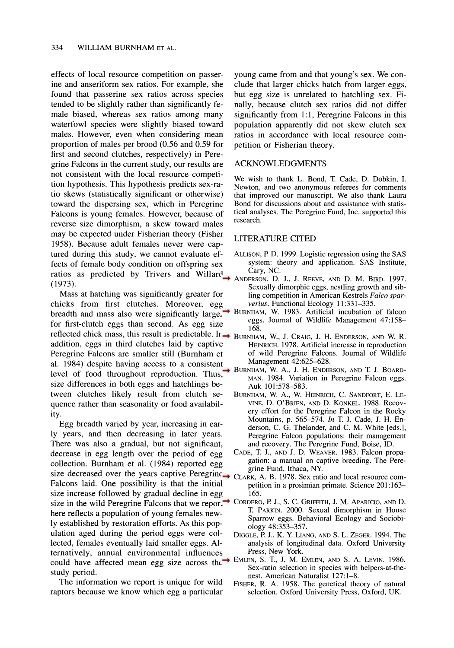**effects of local resource competition on passerine and anseriform sex ratios. For example, she found that passerine sex ratios across species tended to be slightly rather than significantly female biased, whereas sex ratios among many waterfowl species were slightly biased toward males. However, even when considering mean proportion of males per brood (0.56 and 0.59 for first and second clutches, respectively) in Peregrine Falcons in the current study, our results are not consistent with the local resource competition hypothesis. This hypothesis predicts sex-ratio skews (statistically significant or otherwise) toward the dispersing sex, which in Peregrine Falcons is young females. However, because of reverse size dimorphism, a skew toward males may be expected under Fisherian theory (Fisher 1958). Because adult females never were captured during this study, we cannot evaluate effects of female body condition on offspring sex ratios as predicted by Trivers and Willard ANDERSON D (1973).** 

**Mass at hatching was significantly greater for chicks from first clutches. Moreover, egg breadth and mass also were significantly larger for first-clutch eggs than second. As egg size**  reflected chick mass, this result is predictable. Ir  $\rightarrow$  BURNHAM, W., J. CRAIG, J. H. ENDERSON, AND W. R. **addition, eggs in third clutches laid by captive Peregrine Falcons are smaller still (Burnham et al. 1984) despite having access to a consistent level of food throughout reproduction. Thus, BURNHAM, W. A., J. H. ENDERSON, AND T. J. BOARD-<br>MAN. 1984. Variation in Peregrine Falcon eggs. size differences in both eggs and hatchlings between clutches likely result from clutch sequence rather than seasonality or food availability.** 

**Egg breadth varied by year, increasing in early years, and then decreasing in later years. There was also a gradual, but not significant, decrease in egg length over the period of egg collection. Burnham et al. (1984) reported egg size decreased over the years captive Peregrine Falcons laid. One possibility is that the initial size increase followed by gradual decline in egg size in the wild Peregrine Falcons that we report**  $\rightarrow$  **CORDERO, P. J., S. C. GRIFFITH, J. M. APARICIO, AND D. here reflects a population of young females newly established by restoration efforts. As this population aged during the period eggs were collected, females eventually laid smaller eggs. Alternatively, annual environmental influences could have affected mean egg size across the study period.** 

**The information we report is unique for wild raptors because we know which egg a particular** 

**young came from and that young's sex. We conclude that larger chicks hatch from larger eggs, but egg size is unrelated to hatchling sex. Finally, because clutch sex ratios did not differ significantly from 1:1, Peregrine Falcons in this population apparently did not skew clutch sex ratios in accordance with local resource competition or Fisherian theory.** 

# **ACKNOWLEDGMENTS**

We wish to thank L. Bond, T. Cade, D. Dobkin, I. **Newton, and two anonymous referees for comments that improved our manuscript. We also thank Laura Bond for discussions about and assistance with statistical analyses. The Peregrine Fund, Inc. supported this research.** 

#### **LITERATURE CITED**

- **ALLISON, P. D. 1999. Logistic regression using the SAS system: theory and application. SAS Institute,**
- **ANDERSON, D. J., J. REEVE, AND D. M. BIRD. 1997. Sexually dimorphic eggs, nestling growth and sibling competition in American Kestrels Falco sparverius. Functional Ecology 11:331-335.**
- **BURNHAM, W. 1983. Artificial incubation of falcon eggs. Journal of Wildlife Management 47:158- 168.** 
	- **HEINRICH. 1978. Artificial increase in reproduction of wild Peregrine Falcons. Journal of Wildlife Management 42:625-628.**
	- **MAN. 1984. Variation in Peregrine Falcon eggs. Auk 101:578-583.**
	- **BURNHAM, W. A., W. HEINRICH, C. SANDFORT, E. LE-VINE, D. O'BRIEN, AND D. KONKEL. 1988. Recovery effort for the Peregrine Falcon in the Rocky Mountains, p. 565-574. In T J. Cade, J. H. Enderson, C. G. Thelander, and C. M. White [eds.], Peregrine Falcon populations: their management and recovery. The Peregrine Fund, Boise, ID.**
	- **CADE, T. J., AND J. D. WEAVER. 1983. Falcon propagation: a manual on captive breeding. The Peregrine Fund, Ithaca, NY**
	- **CLARK, A. B. 1978. Sex ratio and local resource competition in a prosimian primate. Science 201:163- 165.**
	- T. PARKIN. 2000. Sexual dimorphism in House **Sparrow eggs. Behavioral Ecology and Sociobiology 48:353-357.**
	- **DIGGLE, P. J., K. Y LIANG, AND S. L. ZEGER. 1994. The analysis of longitudinal data. Oxford University Press, New York.**
	- **EMLEN, S. T., J. M. EMLEN, AND S. A. LEVIN. 1986. Sex-ratio selection in species with helpers-at-thenest. American Naturalist 127:1-8.**
	- **FISHER, R. A. 1958. The genetical theory of natural selection. Oxford University Press, Oxford, UK.**